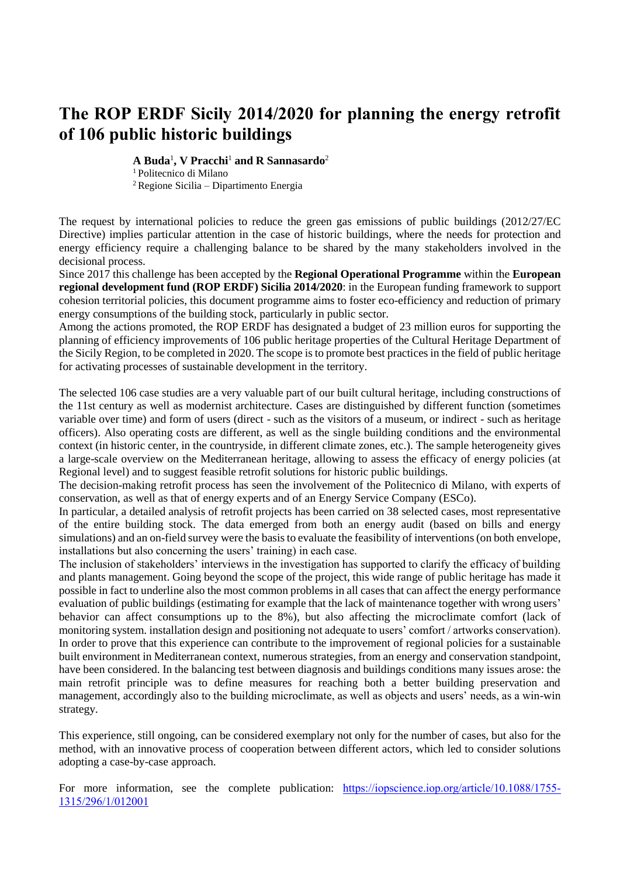## **The ROP ERDF Sicily 2014/2020 for planning the energy retrofit of 106 public historic buildings**

**A Buda**<sup>1</sup> **, V Pracchi**<sup>1</sup> **and R Sannasardo**<sup>2</sup>

<sup>1</sup> Politecnico di Milano

<sup>2</sup>Regione Sicilia – Dipartimento Energia

The request by international policies to reduce the green gas emissions of public buildings (2012/27/EC Directive) implies particular attention in the case of historic buildings, where the needs for protection and energy efficiency require a challenging balance to be shared by the many stakeholders involved in the decisional process.

Since 2017 this challenge has been accepted by the **Regional Operational Programme** within the **European regional development fund (ROP ERDF) Sicilia 2014/2020**: in the European funding framework to support cohesion territorial policies, this document programme aims to foster eco-efficiency and reduction of primary energy consumptions of the building stock, particularly in public sector.

Among the actions promoted, the ROP ERDF has designated a budget of 23 million euros for supporting the planning of efficiency improvements of 106 public heritage properties of the Cultural Heritage Department of the Sicily Region, to be completed in 2020. The scope is to promote best practices in the field of public heritage for activating processes of sustainable development in the territory.

The selected 106 case studies are a very valuable part of our built cultural heritage, including constructions of the 11st century as well as modernist architecture. Cases are distinguished by different function (sometimes variable over time) and form of users (direct - such as the visitors of a museum, or indirect - such as heritage officers). Also operating costs are different, as well as the single building conditions and the environmental context (in historic center, in the countryside, in different climate zones, etc.). The sample heterogeneity gives a large-scale overview on the Mediterranean heritage, allowing to assess the efficacy of energy policies (at Regional level) and to suggest feasible retrofit solutions for historic public buildings.

The decision-making retrofit process has seen the involvement of the Politecnico di Milano, with experts of conservation, as well as that of energy experts and of an Energy Service Company (ESCo).

In particular, a detailed analysis of retrofit projects has been carried on 38 selected cases, most representative of the entire building stock. The data emerged from both an energy audit (based on bills and energy simulations) and an on-field survey were the basis to evaluate the feasibility of interventions (on both envelope, installations but also concerning the users' training) in each case.

The inclusion of stakeholders' interviews in the investigation has supported to clarify the efficacy of building and plants management. Going beyond the scope of the project, this wide range of public heritage has made it possible in fact to underline also the most common problems in all cases that can affect the energy performance evaluation of public buildings (estimating for example that the lack of maintenance together with wrong users' behavior can affect consumptions up to the 8%), but also affecting the microclimate comfort (lack of monitoring system. installation design and positioning not adequate to users' comfort / artworks conservation). In order to prove that this experience can contribute to the improvement of regional policies for a sustainable built environment in Mediterranean context, numerous strategies, from an energy and conservation standpoint, have been considered. In the balancing test between diagnosis and buildings conditions many issues arose: the main retrofit principle was to define measures for reaching both a better building preservation and management, accordingly also to the building microclimate, as well as objects and users' needs, as a win-win strategy.

This experience, still ongoing, can be considered exemplary not only for the number of cases, but also for the method, with an innovative process of cooperation between different actors, which led to consider solutions adopting a case-by-case approach.

For more information, see the complete publication: [https://iopscience.iop.org/article/10.1088/1755-](https://iopscience.iop.org/article/10.1088/1755-1315/296/1/012001) [1315/296/1/012001](https://iopscience.iop.org/article/10.1088/1755-1315/296/1/012001)